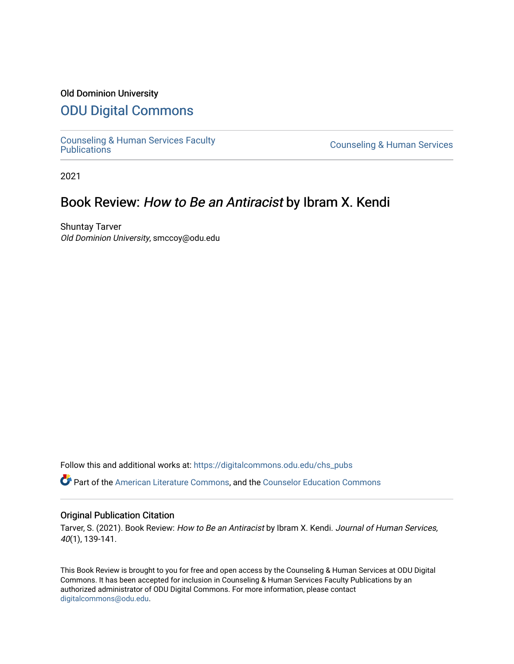### Old Dominion University

# [ODU Digital Commons](https://digitalcommons.odu.edu/)

[Counseling & Human Services Faculty](https://digitalcommons.odu.edu/chs_pubs) 

**Counseling & Human Services** 

2021

# Book Review: How to Be an Antiracist by Ibram X. Kendi

Shuntay Tarver Old Dominion University, smccoy@odu.edu

Follow this and additional works at: [https://digitalcommons.odu.edu/chs\\_pubs](https://digitalcommons.odu.edu/chs_pubs?utm_source=digitalcommons.odu.edu%2Fchs_pubs%2F77&utm_medium=PDF&utm_campaign=PDFCoverPages)

Part of the [American Literature Commons](http://network.bepress.com/hgg/discipline/441?utm_source=digitalcommons.odu.edu%2Fchs_pubs%2F77&utm_medium=PDF&utm_campaign=PDFCoverPages), and the [Counselor Education Commons](http://network.bepress.com/hgg/discipline/1278?utm_source=digitalcommons.odu.edu%2Fchs_pubs%2F77&utm_medium=PDF&utm_campaign=PDFCoverPages) 

#### Original Publication Citation

Tarver, S. (2021). Book Review: How to Be an Antiracist by Ibram X. Kendi. Journal of Human Services, 40(1), 139-141.

This Book Review is brought to you for free and open access by the Counseling & Human Services at ODU Digital Commons. It has been accepted for inclusion in Counseling & Human Services Faculty Publications by an authorized administrator of ODU Digital Commons. For more information, please contact [digitalcommons@odu.edu](mailto:digitalcommons@odu.edu).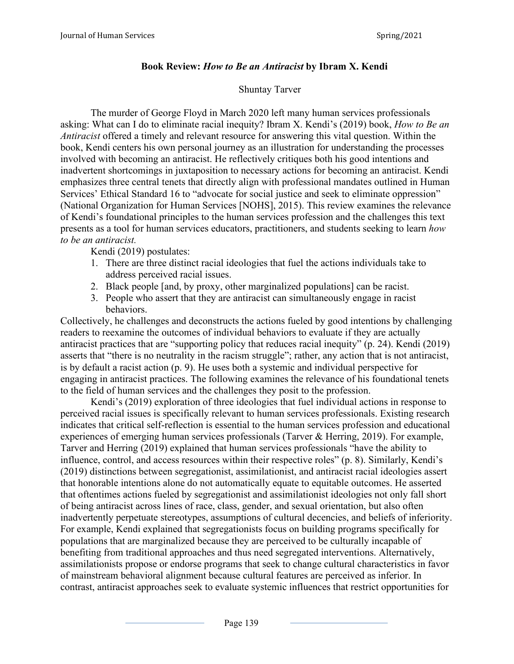### **Book Review:** *How to Be an Antiracist* **by Ibram X. Kendi**

### Shuntay Tarver

The murder of George Floyd in March 2020 left many human services professionals asking: What can I do to eliminate racial inequity? Ibram X. Kendi's (2019) book, *How to Be an Antiracist* offered a timely and relevant resource for answering this vital question. Within the book, Kendi centers his own personal journey as an illustration for understanding the processes involved with becoming an antiracist. He reflectively critiques both his good intentions and inadvertent shortcomings in juxtaposition to necessary actions for becoming an antiracist. Kendi emphasizes three central tenets that directly align with professional mandates outlined in Human Services' Ethical Standard 16 to "advocate for social justice and seek to eliminate oppression" (National Organization for Human Services [NOHS], 2015). This review examines the relevance of Kendi's foundational principles to the human services profession and the challenges this text presents as a tool for human services educators, practitioners, and students seeking to learn *how to be an antiracist.*

Kendi (2019) postulates:

- 1. There are three distinct racial ideologies that fuel the actions individuals take to address perceived racial issues.
- 2. Black people [and, by proxy, other marginalized populations] can be racist.
- 3. People who assert that they are antiracist can simultaneously engage in racist behaviors.

Collectively, he challenges and deconstructs the actions fueled by good intentions by challenging readers to reexamine the outcomes of individual behaviors to evaluate if they are actually antiracist practices that are "supporting policy that reduces racial inequity" (p. 24). Kendi (2019) asserts that "there is no neutrality in the racism struggle"; rather, any action that is not antiracist, is by default a racist action (p. 9). He uses both a systemic and individual perspective for engaging in antiracist practices. The following examines the relevance of his foundational tenets to the field of human services and the challenges they posit to the profession.

Kendi's (2019) exploration of three ideologies that fuel individual actions in response to perceived racial issues is specifically relevant to human services professionals. Existing research indicates that critical self-reflection is essential to the human services profession and educational experiences of emerging human services professionals (Tarver & Herring, 2019). For example, Tarver and Herring (2019) explained that human services professionals "have the ability to influence, control, and access resources within their respective roles" (p. 8). Similarly, Kendi's (2019) distinctions between segregationist, assimilationist, and antiracist racial ideologies assert that honorable intentions alone do not automatically equate to equitable outcomes. He asserted that oftentimes actions fueled by segregationist and assimilationist ideologies not only fall short of being antiracist across lines of race, class, gender, and sexual orientation, but also often inadvertently perpetuate stereotypes, assumptions of cultural decencies, and beliefs of inferiority. For example, Kendi explained that segregationists focus on building programs specifically for populations that are marginalized because they are perceived to be culturally incapable of benefiting from traditional approaches and thus need segregated interventions. Alternatively, assimilationists propose or endorse programs that seek to change cultural characteristics in favor of mainstream behavioral alignment because cultural features are perceived as inferior. In contrast, antiracist approaches seek to evaluate systemic influences that restrict opportunities for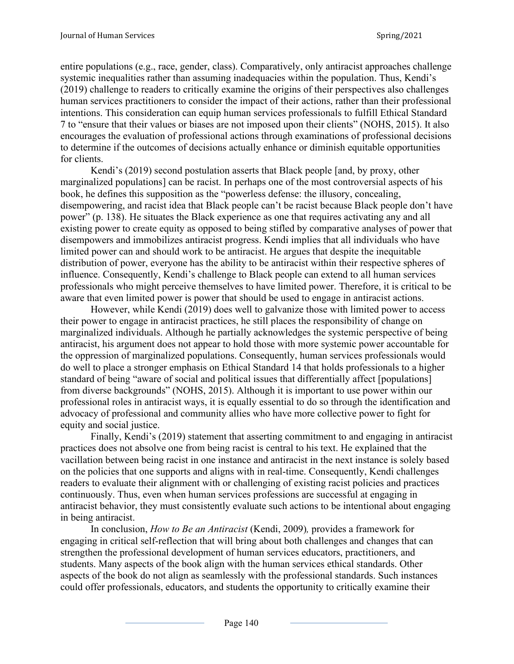entire populations (e.g., race, gender, class). Comparatively, only antiracist approaches challenge systemic inequalities rather than assuming inadequacies within the population. Thus, Kendi's (2019) challenge to readers to critically examine the origins of their perspectives also challenges human services practitioners to consider the impact of their actions, rather than their professional intentions. This consideration can equip human services professionals to fulfill Ethical Standard 7 to "ensure that their values or biases are not imposed upon their clients" (NOHS, 2015). It also encourages the evaluation of professional actions through examinations of professional decisions to determine if the outcomes of decisions actually enhance or diminish equitable opportunities for clients.

Kendi's (2019) second postulation asserts that Black people [and, by proxy, other marginalized populations] can be racist. In perhaps one of the most controversial aspects of his book, he defines this supposition as the "powerless defense: the illusory, concealing, disempowering, and racist idea that Black people can't be racist because Black people don't have power" (p. 138). He situates the Black experience as one that requires activating any and all existing power to create equity as opposed to being stifled by comparative analyses of power that disempowers and immobilizes antiracist progress. Kendi implies that all individuals who have limited power can and should work to be antiracist. He argues that despite the inequitable distribution of power, everyone has the ability to be antiracist within their respective spheres of influence. Consequently, Kendi's challenge to Black people can extend to all human services professionals who might perceive themselves to have limited power. Therefore, it is critical to be aware that even limited power is power that should be used to engage in antiracist actions.

However, while Kendi (2019) does well to galvanize those with limited power to access their power to engage in antiracist practices, he still places the responsibility of change on marginalized individuals. Although he partially acknowledges the systemic perspective of being antiracist, his argument does not appear to hold those with more systemic power accountable for the oppression of marginalized populations. Consequently, human services professionals would do well to place a stronger emphasis on Ethical Standard 14 that holds professionals to a higher standard of being "aware of social and political issues that differentially affect [populations] from diverse backgrounds" (NOHS, 2015). Although it is important to use power within our professional roles in antiracist ways, it is equally essential to do so through the identification and advocacy of professional and community allies who have more collective power to fight for equity and social justice.

Finally, Kendi's (2019) statement that asserting commitment to and engaging in antiracist practices does not absolve one from being racist is central to his text. He explained that the vacillation between being racist in one instance and antiracist in the next instance is solely based on the policies that one supports and aligns with in real-time. Consequently, Kendi challenges readers to evaluate their alignment with or challenging of existing racist policies and practices continuously. Thus, even when human services professions are successful at engaging in antiracist behavior, they must consistently evaluate such actions to be intentional about engaging in being antiracist.

In conclusion, *How to Be an Antiracist* (Kendi, 2009)*,* provides a framework for engaging in critical self-reflection that will bring about both challenges and changes that can strengthen the professional development of human services educators, practitioners, and students. Many aspects of the book align with the human services ethical standards. Other aspects of the book do not align as seamlessly with the professional standards. Such instances could offer professionals, educators, and students the opportunity to critically examine their